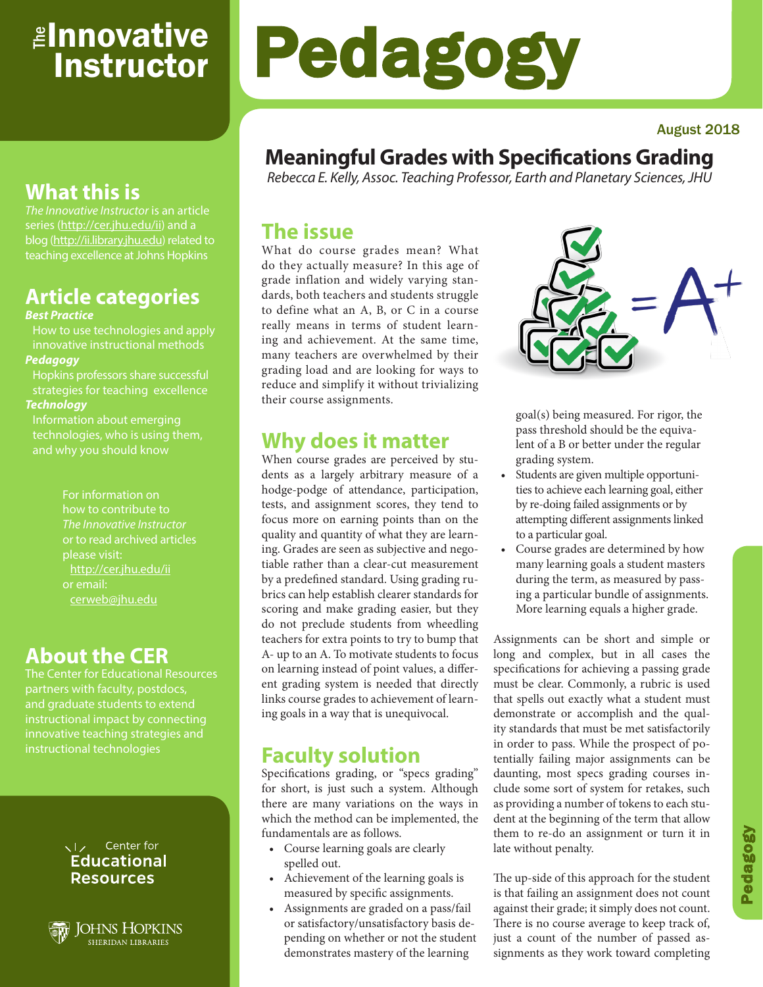# <sub>≝l</sub>nnovative **Instructor**

#### August 2018

# **Meaningful Grades with Specifications Grading**

Pedagogy

*Rebecca E. Kelly, Assoc. Teaching Professor, Earth and Planetary Sciences, JHU*

### **The issue**

What do course grades mean? What do they actually measure? In this age of grade inflation and widely varying standards, both teachers and students struggle to define what an A, B, or C in a course really means in terms of student learning and achievement. At the same time, many teachers are overwhelmed by their grading load and are looking for ways to reduce and simplify it without trivializing their course assignments.

### **Why does it matter**

When course grades are perceived by students as a largely arbitrary measure of a hodge-podge of attendance, participation, tests, and assignment scores, they tend to focus more on earning points than on the quality and quantity of what they are learning. Grades are seen as subjective and negotiable rather than a clear-cut measurement by a predefined standard. Using grading rubrics can help establish clearer standards for scoring and make grading easier, but they do not preclude students from wheedling teachers for extra points to try to bump that A- up to an A. To motivate students to focus on learning instead of point values, a different grading system is needed that directly links course grades to achievement of learning goals in a way that is unequivocal.

## **Faculty solution**

Specifications grading, or "specs grading" for short, is just such a system. Although there are many variations on the ways in which the method can be implemented, the fundamentals are as follows.

- Course learning goals are clearly spelled out.
- Achievement of the learning goals is measured by specific assignments.
- Assignments are graded on a pass/fail or satisfactory/unsatisfactory basis depending on whether or not the student demonstrates mastery of the learning



goal(s) being measured. For rigor, the pass threshold should be the equivalent of a B or better under the regular grading system.

- Students are given multiple opportunities to achieve each learning goal, either by re-doing failed assignments or by attempting different assignments linked to a particular goal.
- Course grades are determined by how many learning goals a student masters during the term, as measured by passing a particular bundle of assignments. More learning equals a higher grade.

Assignments can be short and simple or long and complex, but in all cases the specifications for achieving a passing grade must be clear. Commonly, a rubric is used that spells out exactly what a student must demonstrate or accomplish and the quality standards that must be met satisfactorily in order to pass. While the prospect of potentially failing major assignments can be daunting, most specs grading courses include some sort of system for retakes, such as providing a number of tokens to each student at the beginning of the term that allow them to re-do an assignment or turn it in late without penalty.

The up-side of this approach for the student is that failing an assignment does not count against their grade; it simply does not count. There is no course average to keep track of, just a count of the number of passed assignments as they work toward completing

# **What this is**

*The Innovative Instructor* is an article series (http://cer.jhu.edu/ii) and a blog (http://ii.library.jhu.edu) related to teaching excellence at Johns Hopkins

# **Article categories**

#### *Best Practice*

How to use technologies and apply innovative instructional methods *Pedagogy*

Hopkins professors share successful strategies for teaching excellence *Technology*

Information about emerging

technologies, who is using them,

For information on how to contribute to *The Innovative Instructor* or to read archived articles http://cer.jhu.edu/ii or email: cerweb@jhu.edu

# **About the CER**

The Center for Educational Resources partners with faculty, postdocs, and graduate students to extend innovative teaching strategies and instructional technologies